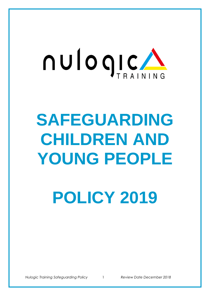

# **SAFEGUARDING CHILDREN AND YOUNG PEOPLE**

**POLICY 2019**

*Nulogic Training Safeguarding Policy* 1 *Review Date December 2018*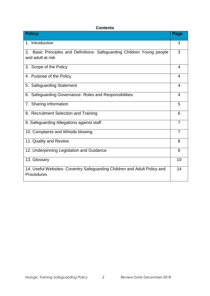# **Contents**

| <b>Policy:</b>                                                                                  | Page           |
|-------------------------------------------------------------------------------------------------|----------------|
| 1. Introduction                                                                                 | 3              |
| Basic Principles and Definitions- Safeguarding Children Young people<br>2.<br>and adult at risk | 3              |
| 3. Scope of the Policy                                                                          | $\overline{4}$ |
| 4. Purpose of the Policy                                                                        | 4              |
| 5. Safeguarding Statement                                                                       | 4              |
| 6. Safeguarding Governance- Roles and Responsibilities                                          | $\overline{4}$ |
| 7. Sharing Information                                                                          | 5              |
| 8. Recruitment Selection and Training                                                           | 6              |
| 9. Safeguarding Allegations against staff                                                       | $\overline{7}$ |
| 10. Complaints and Whistle blowing                                                              | $\overline{7}$ |
| 11. Quality and Review                                                                          | 8              |
| 12. Underpinning Legislation and Guidance                                                       | 8              |
| 13. Glossary                                                                                    | 10             |
| 14. Useful Websites- Coventry Safeguarding Children and Adult Policy and<br>Procedures          | 14             |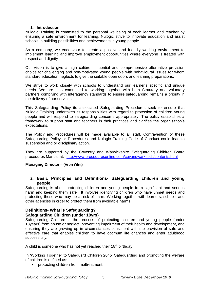#### **1. Introduction**

Nulogic Training is committed to the personal wellbeing of each learner and teacher by ensuring a safe environment for learning. Nulogic strive to innovate education and assist schools in building possibilities and achievements in young people.

As a company, we endeavour to create a positive and friendly working environment to implement learning and improve employment opportunities where everyone is treated with respect and dignity

Our vision is to give a high calibre, influential and comprehensive alternative provision choice for challenging and non-motivated young people with behavioural issues for whom standard education neglects to give the suitable open doors and learning preparations.

We strive to work closely with schools to understand our learner's specific and unique needs. We are also committed to working together with both Statutory and voluntary partners complying with interagency standards to ensure safeguarding remains a priority in the delivery of our services.

This Safeguarding Policy its associated Safeguarding Procedures seek to ensure that Nulogic Training undertakes its responsibilities with regard to protection of children young people and will respond to safeguarding concerns appropriately. The policy establishes a framework to support staff and teachers in their practices and clarifies the organisation's expectations.

The Policy and Procedures will be made available to all staff. Contravention of these Safeguarding Policy or Procedures and Nulogic Training Code of Conduct could lead to suspension and or disciplinary action.

They are supported by the Coventry and Warwickshire Safeguarding Children Board procedures Manual at:- <http://www.proceduresonline.com/covandwarksscb/contents.html>

# **Managing Director – (Aron Wint)**

# **2. Basic Principles and Definitions- Safeguarding children and young people**

Safeguarding is about protecting children and young people from significant and serious harm and keeping them safe. It involves identifying children who have unmet needs and protecting those who may be at risk of harm. Working together with learners, schools and other agencies in order to protect them from avoidable harms.

# **Definitions- What is Safeguarding?**

# **Safeguarding Children (under 18yrs)**

Safeguarding Children is the process of protecting children and young people (under 18years) from abuse or neglect, preventing impairment of their health and development, and ensuring they are growing up in circumstances consistent with the provision of safe and effective care that enables children to have optimum life chances and enter adulthood successfully.

A child is someone who has not yet reached their  $18<sup>th</sup>$  birthday

In 'Working Together to Safeguard Children 2015' Safeguarding and promoting the welfare of children is defined as:

• protecting children from maltreatment;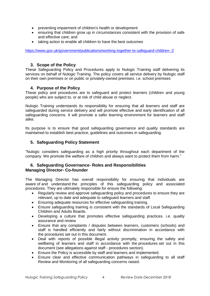- preventing impairment of children's health or development
- ensuring that children grow up in circumstances consistent with the provision of safe and effective care; and
- taking action to enable all children to have the best outcomes

<https://www.gov.uk/government/publications/working-together-to-safeguard-children--2>

# **3. Scope of the Policy**

These Safeguarding Policy and Procedures apply to Nulogic Training staff delivering its services on behalf of Nulogic Training. The policy covers all service delivery by Nulogic staff on their own premises or on public or privately-owned premises. i.e. school premises

# **4. Purpose of the Policy**

These policy and procedures are to safeguard and protect learners (children and young people) who are subject to, or at risk of child abuse or neglect.

Nulogic Training understands its responsibility for ensuring that all learners and staff are safeguarded during service delivery and will promote effective and early identification of all safeguarding concerns. It will promote a safer learning environment for learners and staff alike.

Its purpose is to ensure that good safeguarding governance and quality standards are maintained to establish best practice, guidelines and outcomes in safeguarding.

# **5. Safeguarding Policy Statement**

"Nulogic considers safeguarding as a high priority throughout each department of the company. We promote the welfare of children and always want to protect them from harm."

# **6. Safeguarding Governance- Roles and Responsibilities Managing Director- Co-founder**

The Managing Director has overall responsibility for ensuring that individuals are aware of and understand the principles of this safeguarding policy and associated procedures. They are ultimately responsible for ensure the following:

- Regularly review and approve safeguarding policy and [procedures](https://tutors.telegraph.co.uk/safeguarding-procedures.html) to ensure they are relevant, up to date and adequate to safeguard learners and staff.
- Ensuring adequate resources for effective safeguarding training.
- Ensure safeguarding training is consistent with the standards of Local Safeguarding Children and Adults Boards.
- Developing a culture that promotes effective safeguarding practices. i.e. quality assurance and review
- Ensure that any complaints / disputes between learners, customers (schools) and staff is handled efficiently and fairly without discrimination in accordance with the [procedures](https://tutors.telegraph.co.uk/safeguarding-procedures.html) set out in this document.
- Deal with reports of possible illegal activity promptly, ensuring the safety and wellbeing of learners and staff in accordance with the [procedures](https://tutors.telegraph.co.uk/safeguarding-procedures.html) set out in this document (see allegations against staff - [procedures](https://tutors.telegraph.co.uk/safeguarding-procedures.html) section).
- Ensure the Policy is accessible by staff and learners and implemented.
- Ensure clear and effective communication pathways in safeguarding to all staff Review and Monitoring of all safeguarding concerns raised.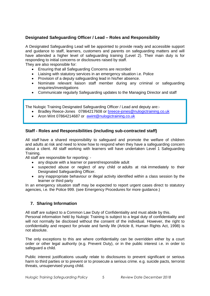# **Designated Safeguarding Officer / Lead – Roles and Responsibility**

A Designated Safeguarding Lead will be appointed to provide ready and accessible support and guidance to staff, learners, customers and parents on safeguarding matters and will have attended a higher level of safeguarding training (Level 2). Their main duty is for responding to initial concerns or disclosures raised by staff.

They are also responsible for:

- Ensuring that all Safeguarding Concerns are recorded
- Liaising with statutory services in an emergency situation i.e. Police
- Provision of a deputy safeguarding lead in his/her absence.
- Nominate relevant liaison staff member during any criminal or safeguarding enquiries/investigations
- Communicate regularly Safeguarding updates to the Managing Director and staff

The Nulogic Training Designated Safeguarding Officer / Lead and deputy are:-

- Bradley Reece-Jones 07864217608 or [breece-jones@nulogictraining.co.uk](mailto:breece-jones@nulogictraining.co.uk)
- Aron Wint 07864214687 or [awint@nulogictraining.co.uk](mailto:awint@nulogictraining.co.uk)

# **Staff - Roles and Responsibilities (including sub-contracted staff)**

All staff have a shared responsibility to safeguard and promote the welfare of children and adults at risk and need to know how to respond when they have a safeguarding concern about a client. All staff working with learners will have undertaken Level 1 Safeguarding Training.

All staff are responsible for reporting: -

- any dispute with a learner or parent/responsible adult
- suspected abuse or neglect of any child or adults at risk immediately to their Designated Safeguarding Officer.
- any inappropriate behaviour or illegal activity identified within a class session by the learner or third party

In an emergency situation staff may be expected to report urgent cases direct to statutory agencies, i.e. the Police 999. (see Emergency Procedures for more guidance.)

# **7. Sharing Information**

All staff are subject to a Common Law Duty of Confidentiality and must abide by this.

Personal information held by Nulogic Training is subject to a legal duty of confidentiality and will not normally be disclosed without the consent of the individual. However, the right to confidentiality and respect for private and family life (Article 8, Human Rights Act, 1998) is not absolute.

The only exceptions to this are where confidentiality can be overridden either by a court order or other legal authority (e.g. Prevent Duty), or in the public interest i.e. in order to safeguard a child.

Public interest justifications usually relate to disclosures to prevent significant or serious harm to third parties or to prevent or to prosecute a serious crime. e.g. suicide pacts, terrorist threats, unsupervised young child.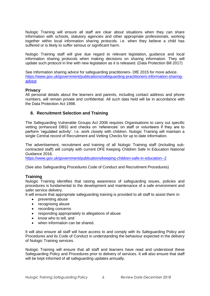Nulogic Training will ensure all staff are clear about situations when they can share information with schools, statutory agencies and other appropriate professionals, working together within local information sharing protocols. i.e. when they believe a child has suffered or is likely to suffer serious or significant harm.

Nulogic Training staff will give due regard to relevant legislation, guidance and local information sharing protocols when making decisions on sharing information. They will update such protocol in line with new legislation as it is released. (Data Protection Bill 2017)

See Information sharing advice for safeguarding practitioners- DfE 2015 for more advice. [https://www.gov.uk/government/publications/safeguarding-practitioners-information-sharing](https://www.gov.uk/government/publications/safeguarding-practitioners-information-sharing-advice)[advice](https://www.gov.uk/government/publications/safeguarding-practitioners-information-sharing-advice)

#### **Privacy**

All personal details about the learners and parents, including contact address and phone numbers, will remain private and confidential. All such data held will be in accordance with the [Data Protection Act 1998.](http://www.ico.org.uk/)

# **8. Recruitment Selection and Training**

The Safeguarding Vulnerable Groups Act 2006 requires Organisations to carry out specific vetting (enhanced DBS) and checks on 'references' on staff or volunteers if they are to perform 'regulated activity'. I.e. work closely with children. Nulogic Training will maintain a single Central record of Recruitment and Vetting Checks for up to date information.

The advertisement, recruitment and training of all Nulogic Training staff (including subcontracted staff) will comply with current DFE Keeping Children Safe In Education National Guidance 2016.

<https://www.gov.uk/government/publications/keeping-children-safe-in-education--2>

(See also Safeguarding Procedures Code of Conduct and Recruitment Procedures)

#### **Training**

Nulogic Training identifies that raising awareness of safeguarding issues, policies and procedures is fundamental to the development and maintenance of a safe environment and safer service delivery.

It will ensure that appropriate safeguarding training is provided to all staff to assist them in:

- preventing abuse
- recognising abuse
- recording concerns
- responding appropriately to allegations of abuse
- know who to tell, and
- when information can be shared.

It will also ensure all staff will have access to and comply with its Safeguarding Policy and Procedures and its Code of Conduct in understanding the behaviour expected in the delivery of Nulogic Training services.

Nulogic Training will ensure that all staff and learners have read and understood these Safeguarding Policy and Procedures prior to delivery of services. It will also ensure that staff will be kept informed of all safeguarding updates annually.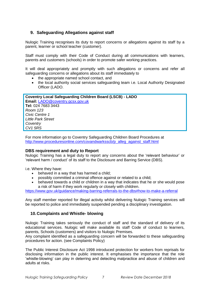# **9. Safeguarding Allegations against staff**

Nulogic Training recognises its duty to report concerns or allegations against its staff by a parent, learner or school teacher (customer).

Staff must comply with their Code of Conduct during all communications with learners, parents and customers (schools) in order to promote safer working practices.

It will deal appropriately and promptly with such allegations or concerns and refer all safeguarding concerns or allegations about its staff immediately to

- the appropriate named school contact, and
- the local authority social services safeguarding team i.e. Local Authority Designated Officer (LADO.

**Coventry Local Safeguarding Children Board (LSCB) - LADO Email:** [LADO@coventry.gcsx.gov.uk](mailto:LADO%40coventry.gcsx.gov.uk) **Tel:** 024 7683 3443 *Room 123 Civic Centre 1 Little Park Street Coventry CV1 5RS*

For more information go to Coventry Safeguarding Children Board Procedures at [http://www.proceduresonline.com/covandwarksscb/p\\_alleg\\_against\\_staff.html](http://www.proceduresonline.com/covandwarksscb/p_alleg_against_staff.html)

# **DBS requirement and duty to Report**

Nulogic Training has a legal duty to report any concerns about the 'relevant behaviour' or 'relevant harm / conduct' of its staff to the Disclosure and Barring Service (DBS).

i.e. Where they have:

- behaved in a way that has harmed a child;
- possibly committed a criminal offence against or related to a child;
- behaved towards a child or children in a way that indicates that he or she would pose a risk of harm if they work regularly or closely with children.

<https://www.gov.uk/guidance/making-barring-referrals-to-the-dbs#how-to-make-a-referral>

Any staff member reported for illegal activity whilst delivering Nulogic Training services will be reported to police and immediately suspended pending a disciplinary investigation.

# **10.Complaints and Whistle- blowing**

Nulogic Training takes seriously the conduct of staff and the standard of delivery of its educational services. Nulogic will make available its staff Code of conduct to learners, parents, Schools (customers) and visitors to Nulogic Premises.

Any complaint identified as a safeguarding concern will be forwarded to these safeguarding procedures for action. (see Complaints Policy)

The Public Interest Disclosure Act 1998 introduced protection for workers from reprisals for disclosing information in the public interest. It emphasises the importance that the role 'whistle-blowing' can play in deterring and detecting malpractice and abuse of children and adults at risks.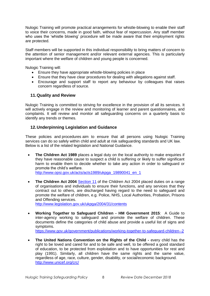Nulogic Training will promote practical arrangements for whistle-blowing to enable their staff to voice their concerns, made in good faith, without fear of repercussion. Any staff member who uses the 'whistle blowing' procedure will be made aware that their employment rights are protected.

Staff members will be supported in this individual responsibility to bring matters of concern to the attention of senior management and/or relevant external agencies. This is particularly important where the welfare of children and young people is concerned.

Nulogic Training will:

- Ensure they have appropriate whistle-blowing policies in place
- Ensure that they have clear procedures for dealing with allegations against staff.
- Encourage and support staff to report any behaviour by colleagues that raises concern regardless of source.

# **11.Quality and Review**

Nulogic Training is committed to striving for excellence in the provision of all its services. It will actively engage in the review and monitoring of learner and parent questionnaires, and complaints. It will review and monitor all safeguarding concerns on a quarterly basis to identify any trends or themes.

# **12.Underpinning Legislation and Guidance**

These policies and [procedures](https://tutors.telegraph.co.uk/safeguarding-procedures.html) aim to ensure that all persons using Nulogic Training services can do so safely within child and adult at risk safeguarding standards and UK law. Below is a list of the related legislation and National Guidance.

• **The Children Act 1989** places a legal duty on the local authority to make enquiries if they have reasonable cause to suspect a child is suffering or likely to suffer significant harm to enable them to decide whether to take any action in order to safeguard or promote the child's welfare. [http://www.opsi.gov.uk/acts/acts1989/ukpga\\_19890041\\_en\\_1](http://www.opsi.gov.uk/acts/acts1989/ukpga_19890041_en_1)

• **The Children Act 2004** [Section 11](http://www.legislation.gov.uk/ukpga/2004/31/section/11) of the Children Act 2004 placed duties on a range of organisations and individuals to ensure their functions, and any services that they contract out to others, are discharged having regard to the need to safeguard and promote the welfare of children, e.g. Police, NHS, Local Authorities, Probation, Prisons and Offending services.

<http://www.legislation.gov.uk/ukpga/2004/31/contents>

• **Working Together to Safeguard Children - HM Government 2015**: A Guide to inter-agency working to safeguard and promote the welfare of children. These documents define the categories of child abuse and provide a useful list of signs and symptoms.

<https://www.gov.uk/government/publications/working-together-to-safeguard-children--2>

• **The United Nations Convention on the Rights of the Child -** every child has the right to be loved and cared for and to be safe and well, to be offered a good standard of education, to be protected from exploitation and to have opportunities for rest and play (1991). Similarly, all children have the same rights and the same value, regardless of age, race, culture, gender, disability, or social/economic background. <http://www.unicef.org/crc/>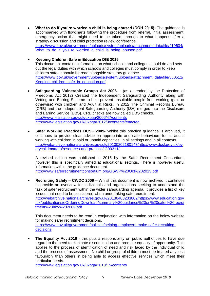- **What to do if you're worried a child is being abused (DOH 2015)-** The guidance is accompanied with flowcharts following the procedure from referral, initial assessment, emergency action that might need to be taken, through to what happens after a strategy discussion and child protection review conference. [https://www.gov.uk/government/uploads/system/uploads/attachment\\_data/file/419604/](https://www.gov.uk/government/uploads/system/uploads/attachment_data/file/419604/What_to_do_if_you_re_worried_a_child_is_being_abused.pdf) What to do if you re worried a child is being abused.pdf
- **Keeping Children Safe in Education DfE 2016** This document contains information on what schools and colleges should do and sets out the legal duties with which schools and colleges must comply in order to keep children safe. It should be read alongside statutory guidance. [https://www.gov.uk/government/uploads/system/uploads/attachment\\_data/file/550511/](https://www.gov.uk/government/uploads/system/uploads/attachment_data/file/550511/Keeping_children_safe_in_education.pdf) Keeping children\_safe\_in\_education.pdf
- **Safeguarding Vulnerable Groups Act 2006 –** (as amended by the Protection of Freedoms Act 2012) Created the Independent Safeguarding Authority along with Vetting and Barring Scheme to help prevent unsuitable people from working (paid or otherwise) with children and Adult at Risks. In 2012 The Criminal Records Bureau (CRB) and the Independent Safeguarding Authority (ISA) merged into the Disclosure and Barring Service (DBS). CRB checks are now called DBS checks. <http://www.legislation.gov.uk/ukpga/2006/47/contents> <http://www.legislation.gov.uk/ukpga/2012/9/contents/enacted>
- **Safer Working Practices DCSF 2009-** Whilst this practice guidance is archived, it continues to provide clear advice on appropriate and safe behaviours for all adults working with children in paid or unpaid capacities, in all settings and in all contexts. [http://webarchive.nationalarchives.gov.uk/20100202180143/http://www.dcsf.gov.uk/ev](http://webarchive.nationalarchives.gov.uk/20100202180143/http:/www.dcsf.gov.uk/everychildmatters/resources-and-practice/IG00311/) [erychildmatters/resources-and-practice/IG00311/](http://webarchive.nationalarchives.gov.uk/20100202180143/http:/www.dcsf.gov.uk/everychildmatters/resources-and-practice/IG00311/)

A revised edition was published in 2015 by the Safer Recruitment Consortium, however this is specifically aimed at educational settings. There is however useful information within the guidance document. <http://www.saferrecruitmentconsortium.org/GSWP%20Oct%202015.pdf>

• **Recruiting Safely – CWDC 2009 –** Whilst this document is now archived it continues to provide an overview for individuals and organisations seeking to understand the task of safer recruitment within the wider safeguarding agenda. It provides a list of key issues that need to be considered when undertaking safe recruitment. [http://webarchive.nationalarchives.gov.uk/20130403233802/https://www.education.gov](http://webarchive.nationalarchives.gov.uk/20130403233802/https:/www.education.gov.uk/publications/eOrderingDownload/summary%20guidance%20on%20safer%20recruitment%20nov%202009.pdf) [.uk/publications/eOrderingDownload/summary%20guidance%20on%20safer%20recrui](http://webarchive.nationalarchives.gov.uk/20130403233802/https:/www.education.gov.uk/publications/eOrderingDownload/summary%20guidance%20on%20safer%20recruitment%20nov%202009.pdf) [tment%20nov%202009.pdf](http://webarchive.nationalarchives.gov.uk/20130403233802/https:/www.education.gov.uk/publications/eOrderingDownload/summary%20guidance%20on%20safer%20recruitment%20nov%202009.pdf)

This document needs to be read in conjunction with information on the below website for making safer recruitment decisions.

[https://www.gov.uk/government/policies/helping-employers-make-safer-recruiting](https://www.gov.uk/government/policies/helping-employers-make-safer-recruiting-decisions)[decisions](https://www.gov.uk/government/policies/helping-employers-make-safer-recruiting-decisions)

**The Equality Act 2010** - this puts a responsibility on public authorities to have due regard to the need to eliminate discrimination and promote equality of opportunity. This applies to the process of identification of need and risk faced by the individual child and the process of assessment. No child or group of children must be treated any less favourably than others in being able to access effective services which meet their particular needs.

<http://www.legislation.gov.uk/ukpga/2010/15/contents>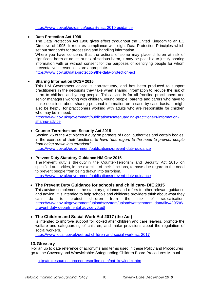<https://www.gov.uk/guidance/equality-act-2010-guidance>

#### • **Data Protection Act 1998**

The Data Protection Act 1998 gives effect throughout the United Kingdom to an EC Directive of 1995. It requires compliance with eight Data Protection Principles which set out standards for processing and handling information.

Where you have concerns that the actions of some may place children at risk of significant harm or adults at risk of serious harm, it may be possible to justify sharing information with or without consent for the purposes of identifying people for whom preventative interventions are appropriate.

<https://www.gov.uk/data-protection/the-data-protection-act>

# • **Sharing Information DCSF 2015**

This HM Government advice is non-statutory, and has been produced to support practitioners in the decisions they take when sharing information to reduce the risk of harm to children and young people. This advice is for all frontline practitioners and senior managers working with children, young people, parents and carers who have to make decisions about sharing personal information on a case by case basis. It might also be helpful for practitioners working with adults who are responsible for children who may be in need.

[https://www.gov.uk/government/publications/safeguarding-practitioners-information](https://www.gov.uk/government/publications/safeguarding-practitioners-information-sharing-advice)[sharing-advice](https://www.gov.uk/government/publications/safeguarding-practitioners-information-sharing-advice)

#### • **Counter-Terrorism and Security Act 2015** –

Section 26 of the Act places a duty on partners of Local authorities and certain bodies, in the exercise of their functions, to *have "due regard to the need to prevent people from being drawn into terrorism".*

<https://www.gov.uk/government/publications/prevent-duty-guidance>

# • **Prevent Duty Statutory Guidance HM Gov 2015**

The Prevent duty is the duty in the Counter-Terrorism and Security Act 2015 on specified authorities, in the exercise of their functions, to have due regard to the need to prevent people from being drawn into terrorism.

<https://www.gov.uk/government/publications/prevent-duty-guidance>

# • **The Prevent Duty Guidance for schools and child care- DfE 2015**

This advice complements the statutory guidance and refers to other relevant guidance and advice. It is intended to help schools and childcare providers think about what they can do to protect children from the risk of radicalisation. [https://www.gov.uk/government/uploads/system/uploads/attachment\\_data/file/439598/](https://www.gov.uk/government/uploads/system/uploads/attachment_data/file/439598/prevent-duty-departmental-advice-v6.pdf) [prevent-duty-departmental-advice-v6.pdf](https://www.gov.uk/government/uploads/system/uploads/attachment_data/file/439598/prevent-duty-departmental-advice-v6.pdf)

# • **The Children and Social Work Act 2017 (the Act)**

is intended to improve support for looked after children and care leavers, promote the welfare and safeguarding of children, and make provisions about the regulation of social workers.

<https://www.local.gov.uk/get-act-children-and-social-work-act-2017>

# **13.Glossary**

For an up to date reference of acronyms and terms used in these Policy and Procedures go to the Coventry and Warwickshire Safeguarding Children Board Procedures Manual

[http://trixresources.proceduresonline.com/nat\\_key/index.htm](http://trixresources.proceduresonline.com/nat_key/index.htm)